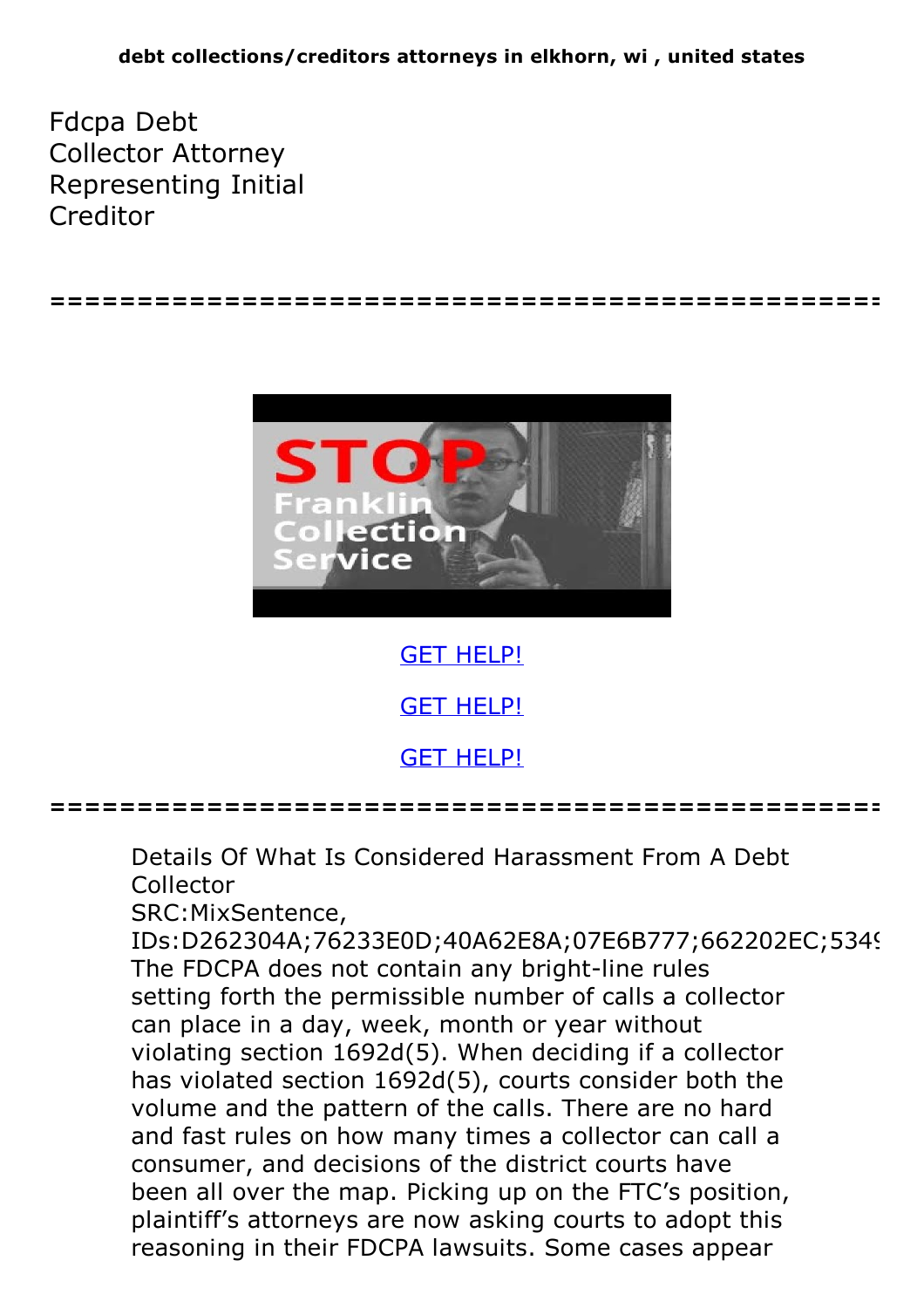Fdcpa Debt Collector Attorney Representing Initial Creditor



**================================================**

GET [HELP!](https://runpdf.xyz/pdf)

GET [HELP!](https://runpdf.xyz/pdf)

GET [HELP!](https://runpdf.xyz/pdf)

**================================================**

Details Of What Is Considered Harassment From A Debt Collector

SRC:MixSentence,

IDs:D262304A;76233E0D;40A62E8A;07E6B777;662202EC;534{ The FDCPA does not contain any bright-line rules setting forth the permissible number of calls a collector can place in a day, week, month or year without violating section 1692d(5). When deciding if a collector has violated section 1692d(5), courts consider both the volume and the pattern of the calls. There are no hard and fast rules on how many times a collector can call a consumer, and decisions of the district courts have been all over the map. Picking up on the FTC's position, plaintiff's attorneys are now asking courts to adopt this reasoning in their FDCPA lawsuits. Some cases appear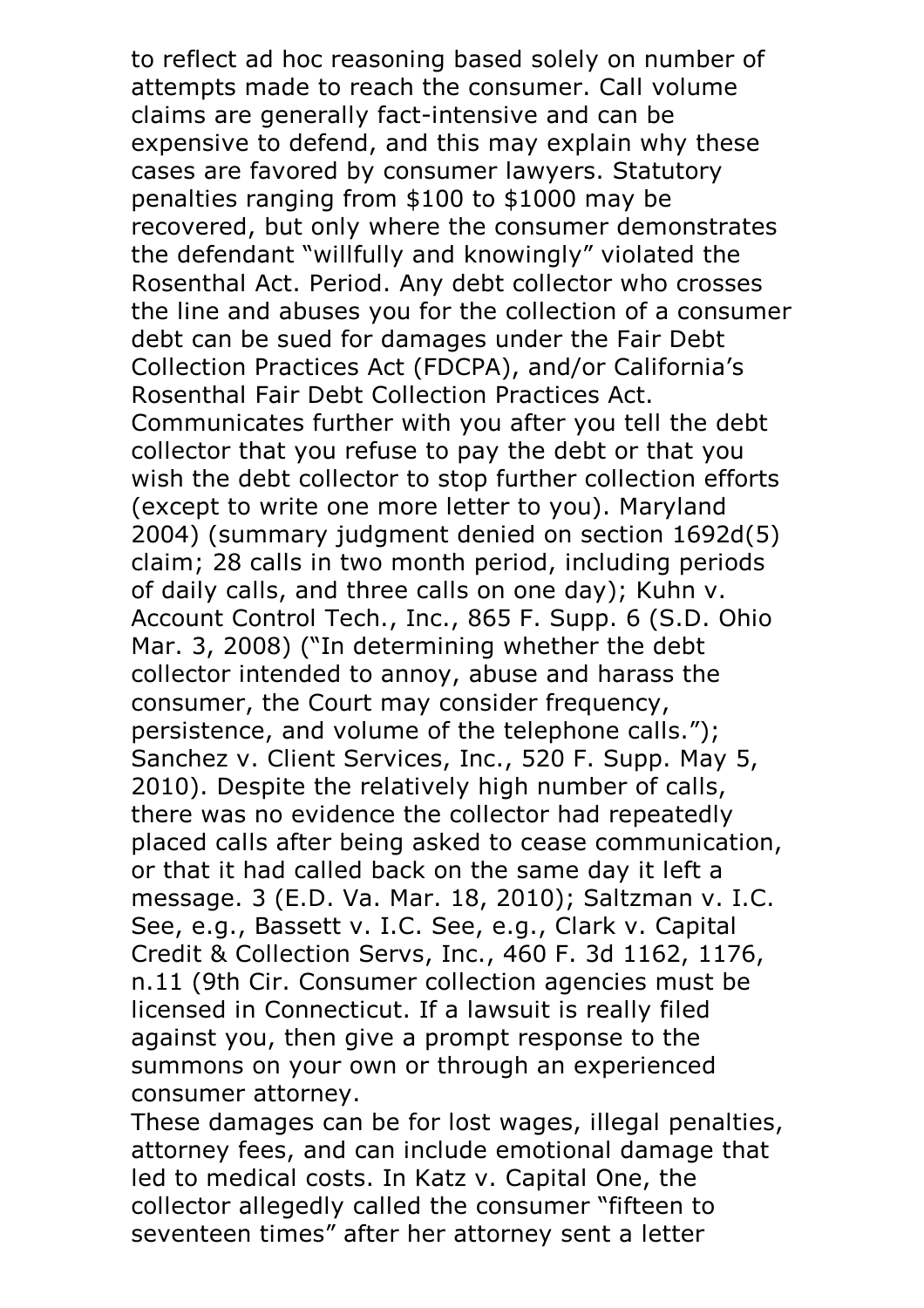to reflect ad hoc reasoning based solely on number of attempts made to reach the consumer. Call volume claims are generally fact-intensive and can be expensive to defend, and this may explain why these cases are favored by consumer lawyers. Statutory penalties ranging from \$100 to \$1000 may be recovered, but only where the consumer demonstrates the defendant "willfully and knowingly" violated the Rosenthal Act. Period. Any debt collector who crosses the line and abuses you for the collection of a consumer debt can be sued for damages under the Fair Debt Collection Practices Act (FDCPA), and/or California's Communicates further with you after you tell the debt. collector that you refuse to pay the debt or that you wish the debt collector to stop further collection efforts (except to write one more letter to you). Maryland 2004) (summary judgment denied on section 1692d(5) claim; 28 calls in two month period, including periods of daily calls, and three calls on one day); Kuhn v.<br>Account Control Tech., Inc., 865 F. Supp. 6 (S.D. Ohio Mar. 3, 2008) ("In determining whether the debt collector intended to annoy, abuse and harass the consumer, the Court may consider frequency, persistence, and volume of the telephone calls."); Sanchez v. Client Services, Inc., 520 F. Supp. May 5, 2010). Despite the relatively high number of calls, there was no evidence the collector had repeatedly placed calls after being asked to cease communication, or that it had called back on the same day it left a message. <sup>3</sup> (E.D. Va. Mar. 18, 2010); Saltzman v. I.C. See, e.g., Bassett v. I.C. See, e.g., Clark v. Capital Credit & Collection Servs, Inc., 460 F. 3d 1162, 1176, n.11 (9th Cir. Consumer collection agencies must be licensed in Connecticut. If a lawsuit is really filed against you, then give a prompt response to the summons on your own or through an experienced

consumer attorney. These damages can be for lost wages, illegal penalties, attorney fees, and can include emotional damage that led to medical costs. In Katz v. Capital One, the collector allegedly called the consumer "fifteen to seventeen times" after her attorney sent a letter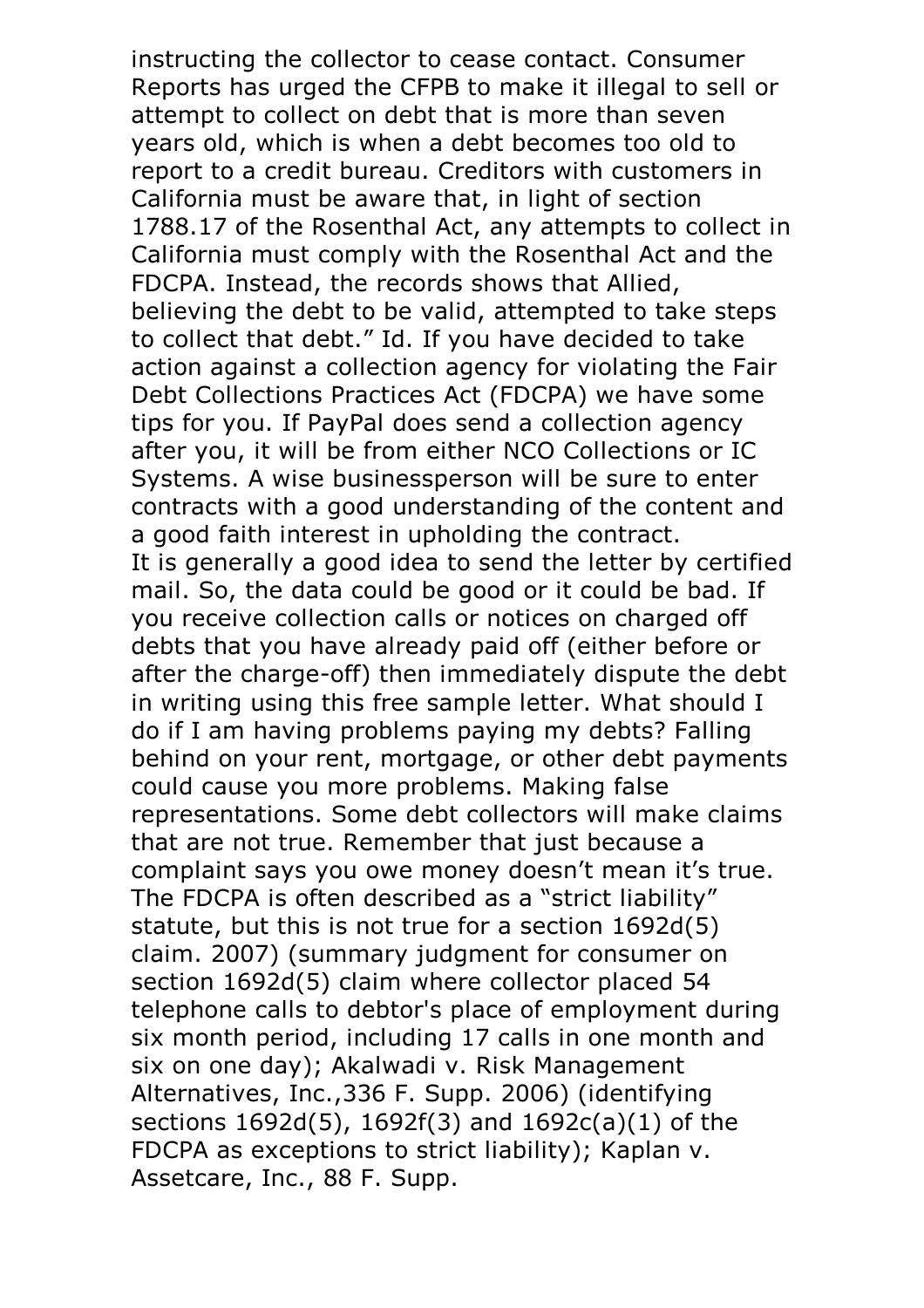instructing the collector to cease contact. Consumer Reports has urged the CFPB to make it illegal to sell or attempt to collect on debt that is more than seven years old, which is when a debt becomes too old to report to a credit bureau. Creditors with customers in California must be aware that, in light of section 1788.17 of the Rosenthal Act, any attempts to collect in California must comply with the Rosenthal Act and the FDCPA. Instead, the records shows that Allied, believing the debt to be valid, attempted to take steps to collect that debt." Id. If you have decided to take action against a collection agency for violating the Fair Debt Collections Practices Act (FDCPA) we have some tips for you. If PayPal does send a collection agency after you, it will be from either NCO Collections or IC Systems. A wise businessperson will be sure to enter contracts with a good understanding of the content and a good faith interest in upholding the contract. It is generally a good idea to send the letter by certified mail. So, the data could be good or it could be bad. If you receive collection calls or notices on charged off debts that you have already paid off (either before or after the charge-off) then immediately dispute the debt in writing using this free sample letter. What should I do if I am having problems paying my debts? Falling behind on your rent, mortgage, or other debt payments could cause you more problems. Making false representations. Some debt collectors will make claims that are not true. Remember that just because a complaint says you owe money doesn't mean it's true. The FDCPA is often described as <sup>a</sup> "strict liability" statute, but this is not true for a section 1692d(5) claim. 2007) (summary judgment for consumer on section 1692d(5) claim where collector placed 54 telephone calls to debtor's place of employment during six month period, including 17 calls in one month and six on one day); Akalwadi v. Risk Management Alternatives, Inc.,336 F. Supp. 2006) (identifying sections 1692d(5), 1692f(3) and 1692c(a)(1) of the FDCPA as exceptions to strict liability); Kaplan v. Assetcare, Inc., <sup>88</sup> F. Supp.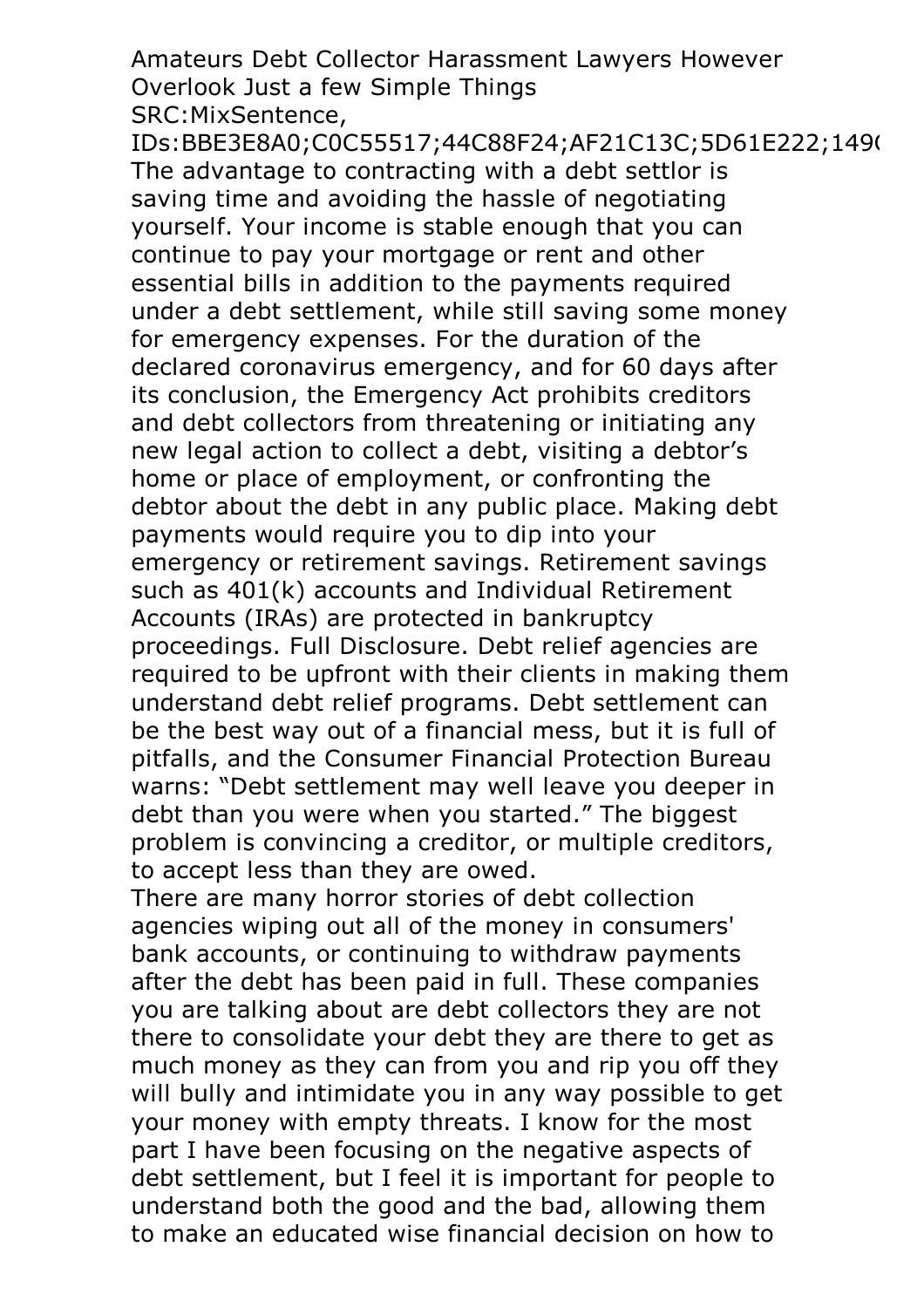Amateurs Debt Collector Harassment Lawyers However Overlook Just a few Simple Things SRC:MixSentence,

IDs:BBE3E8A0;C0C55517;44C88F24;AF21C13C;5D61E222;1490 The advantage to contracting with a debt settlor is saving time and avoiding the hassle of negotiating yourself. Your income is stable enough that you can continue to pay your mortgage or rent and other essential bills in addition to the payments required under a debt settlement, while still saving some money for emergency expenses. For the duration of the declared coronavirus emergency, and for 60 days after its conclusion, the Emergency Act prohibits creditors and debt collectors from threatening or initiating any new legal action to collect a debt, visiting a debtor's home or place of employment, or confronting the debtor about the debt in any public place. Making debt payments would require you to dip into your emergency or retirement savings. Retirement savings such as 401(k) accounts and Individual Retirement Accounts (IRAs) are protected in bankruptcy proceedings. Full Disclosure. Debt relief agencies are required to be upfront with their clients in making them understand debt relief programs. Debt settlement can be the best way out of a financial mess, but it is full of pitfalls, and the Consumer Financial Protection Bureau warns: "Debt settlement may well leave you deeper in debt than you were when you started." The biggest problem is convincing a creditor, or multiple creditors, to accept less than they are owed.

There are many horror stories of debt collection agencies wiping out all of the money in consumers' bank accounts, or continuing to withdraw payments after the debt has been paid in full. These companies you are talking about are debt collectors they are not there to consolidate your debt they are there to get as much money as they can from you and rip you off they will bully and intimidate you in any way possible to get your money with empty threats. I know for the most part I have been focusing on the negative aspects of debt settlement, but I feel it is important for people to understand both the good and the bad, allowing them to make an educated wise financial decision on how to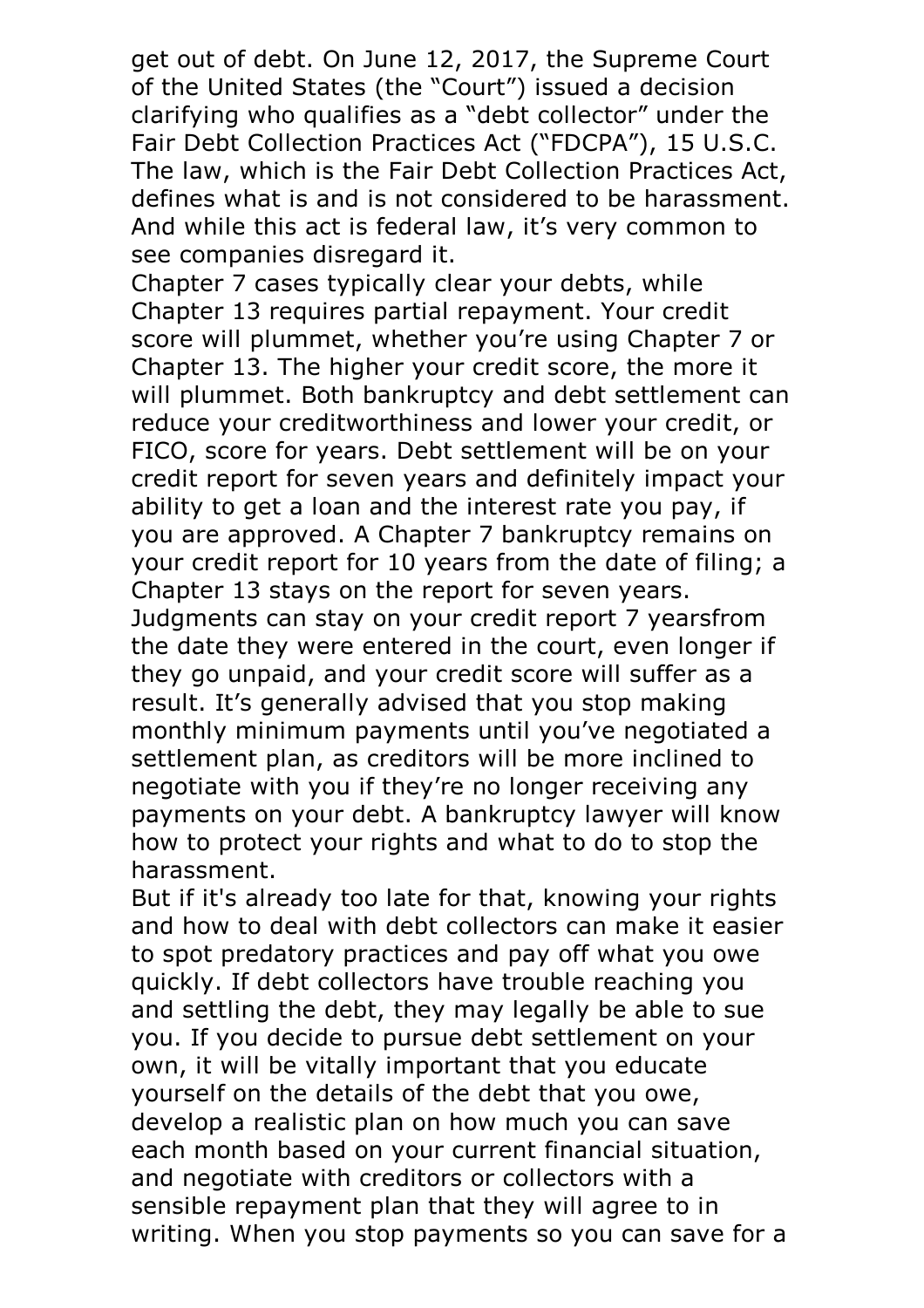get out of debt. On June 12, 2017, the Supreme Court of the United States (the "Court") issued a decision clarifying who qualifies as a "debt collector" under the Fair Debt Collection Practices Act ("FDCPA"), <sup>15</sup> U.S.C. The law, which is the Fair Debt Collection Practices Act, defines what is and is not considered to be harassment. And while this act is federal law, it's very common to see companies disregard it.<br>Chapter 7 cases typically clear your debts, while

Chapter 13 requires partial repayment. Your credit score will plummet, whether you're using Chapter 7 or Chapter 13. The higher your credit score, the more it will plummet. Both bankruptcy and debt settlement can reduce your creditworthiness and lower your credit, or FICO, score for years. Debt settlement will be on your credit report for seven years and definitely impact your ability to get a loan and the interest rate you pay, if you are approved. A Chapter 7 bankruptcy remains on your credit report for 10 years from the date of filing; a Chapter 13 stays on the report for seven years. Judgments can stay on your credit report 7 yearsfrom the date they were entered in the court, even longer if they go unpaid, and your credit score will suffer as a result. It's generally advised that you stop making monthly minimum payments until you've negotiated a settlement plan, as creditors will be more inclined to negotiate with you if they're no longer receiving any payments on your debt. A bankruptcy lawyer will know how to protect your rights and what to do to stop the

harassment.<br>But if it's already too late for that, knowing your rights and how to deal with debt collectors can make it easier to spot predatory practices and pay off what you owe quickly. If debt collectors have trouble reaching you and settling the debt, they may legally be able to sue you. If you decide to pursue debt settlement on your own, it will be vitally important that you educate yourself on the details of the debt that you owe, develop a realistic plan on how much you can save each month based on your current financial situation, and negotiate with creditors or collectors with a sensible repayment plan that they will agree to in writing. When you stop payments so you can save for a